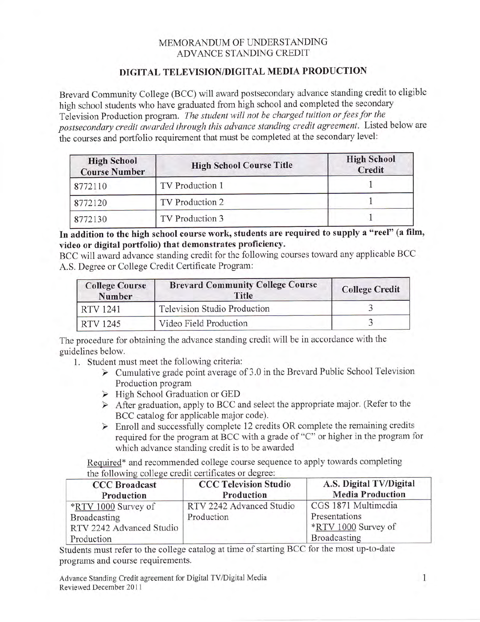## MEMORANDUM OF UNDERSTANDING ADVANCE STANDING CREDIT

## DIGITAL TELEVISION/DIGITAL MEDIA PRODUCTION

Brevard Community College (BCC) will award postsecondary advance standing credit to eligible high school students who have graduated from high school and completed the secondary Television Production program. The student will not be charged tuition or fees for the postsecondary credit awarded through this advance standing credit agreement. Listed below are the courses and portfolio requirement that must be completed at the secondary level:

| <b>High School</b><br><b>Course Number</b> | <b>High School Course Title</b> | <b>High School</b><br>Credit |
|--------------------------------------------|---------------------------------|------------------------------|
| 8772110                                    | TV Production 1                 |                              |
| 8772120                                    | TV Production 2                 |                              |
| 8772130                                    | TV Production 3                 |                              |

In addition to the high school course work, students are required to supply a "reel" (a film, video or digital portfolio) that demonstrates proficiency.

BCC will award advance standing credit for the following courses toward any applicable BCC A.S. Degree or College Credit Certificate Program:

| <b>College Course</b><br><b>Number</b> | <b>Brevard Community College Course</b><br>Title | <b>College Credit</b> |
|----------------------------------------|--------------------------------------------------|-----------------------|
| RTV 1241                               | Television Studio Production                     |                       |
| RTV 1245                               | Video Field Production                           |                       |

The procedure for obtaining the advance standing credit will be in accordance with the guidelines below.

- 1. Student must meet the following criteria:
	- $\triangleright$  Cumulative grade point average of 3.0 in the Brevard Public School Television Production program
	- > High School Graduation or GED
	- $\triangleright$  After graduation, apply to BCC and select the appropriate major. (Refer to the BCC catalog for applicable major code).
	- $\triangleright$  Enroll and successfully complete 12 credits OR complete the remaining credits required for the program at BCC with a grade of "C" or higher in the program for which advance standing credit is to be awarded

Required\* and recommended college course sequence to apply towards completing the following college credit certificates or degree:

| <b>CCC Broadcast</b><br>Production | <b>CCC Television Studio</b><br>Production | A.S. Digital TV/Digital<br><b>Media Production</b> |
|------------------------------------|--------------------------------------------|----------------------------------------------------|
| *RTV 1000 Survey of                | RTV 2242 Advanced Studio                   | CGS 1871 Multimedia                                |
| Broadcasting                       | Production                                 | Presentations                                      |
| RTV 2242 Advanced Studio           |                                            | *RTV 1000 Survey of                                |
| Production                         |                                            | Broadcasting                                       |

Students must refer to the college catalog at time of starting BCC for the most up-to-date programs and course requirements.

Advance Standing Credit agreement for Digital TV/Digital Media Reviewed December 2011